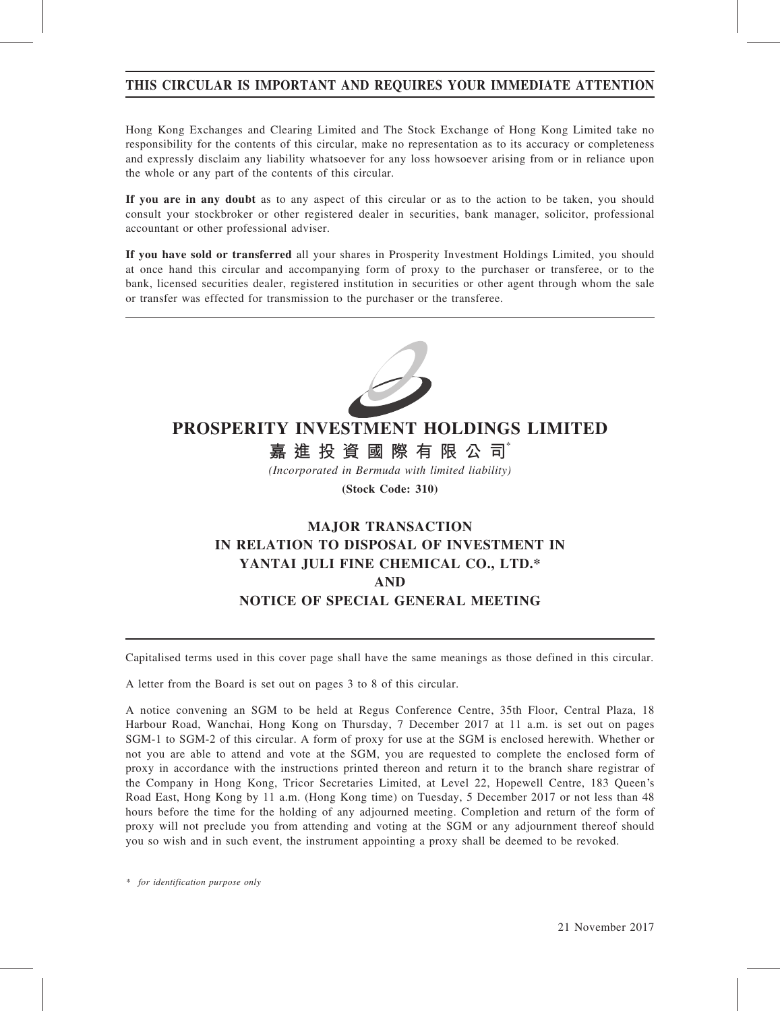## THIS CIRCULAR IS IMPORTANT AND REQUIRES YOUR IMMEDIATE ATTENTION

Hong Kong Exchanges and Clearing Limited and The Stock Exchange of Hong Kong Limited take no responsibility for the contents of this circular, make no representation as to its accuracy or completeness and expressly disclaim any liability whatsoever for any loss howsoever arising from or in reliance upon the whole or any part of the contents of this circular.

If you are in any doubt as to any aspect of this circular or as to the action to be taken, you should consult your stockbroker or other registered dealer in securities, bank manager, solicitor, professional accountant or other professional adviser.

If you have sold or transferred all your shares in Prosperity Investment Holdings Limited, you should at once hand this circular and accompanying form of proxy to the purchaser or transferee, or to the bank, licensed securities dealer, registered institution in securities or other agent through whom the sale or transfer was effected for transmission to the purchaser or the transferee.



# PROSPERITY INVESTMENT HOLDINGS LIMITED

嘉進投資國際有限公司

(Incorporated in Bermuda with limited liability)

(Stock Code: 310)

# MAJOR TRANSACTION IN RELATION TO DISPOSAL OF INVESTMENT IN YANTAI JULI FINE CHEMICAL CO., LTD.\* AND NOTICE OF SPECIAL GENERAL MEETING

Capitalised terms used in this cover page shall have the same meanings as those defined in this circular.

A letter from the Board is set out on pages 3 to 8 of this circular.

A notice convening an SGM to be held at Regus Conference Centre, 35th Floor, Central Plaza, 18 Harbour Road, Wanchai, Hong Kong on Thursday, 7 December 2017 at 11 a.m. is set out on pages SGM-1 to SGM-2 of this circular. A form of proxy for use at the SGM is enclosed herewith. Whether or not you are able to attend and vote at the SGM, you are requested to complete the enclosed form of proxy in accordance with the instructions printed thereon and return it to the branch share registrar of the Company in Hong Kong, Tricor Secretaries Limited, at Level 22, Hopewell Centre, 183 Queen's Road East, Hong Kong by 11 a.m. (Hong Kong time) on Tuesday, 5 December 2017 or not less than 48 hours before the time for the holding of any adjourned meeting. Completion and return of the form of proxy will not preclude you from attending and voting at the SGM or any adjournment thereof should you so wish and in such event, the instrument appointing a proxy shall be deemed to be revoked.

\* for identification purpose only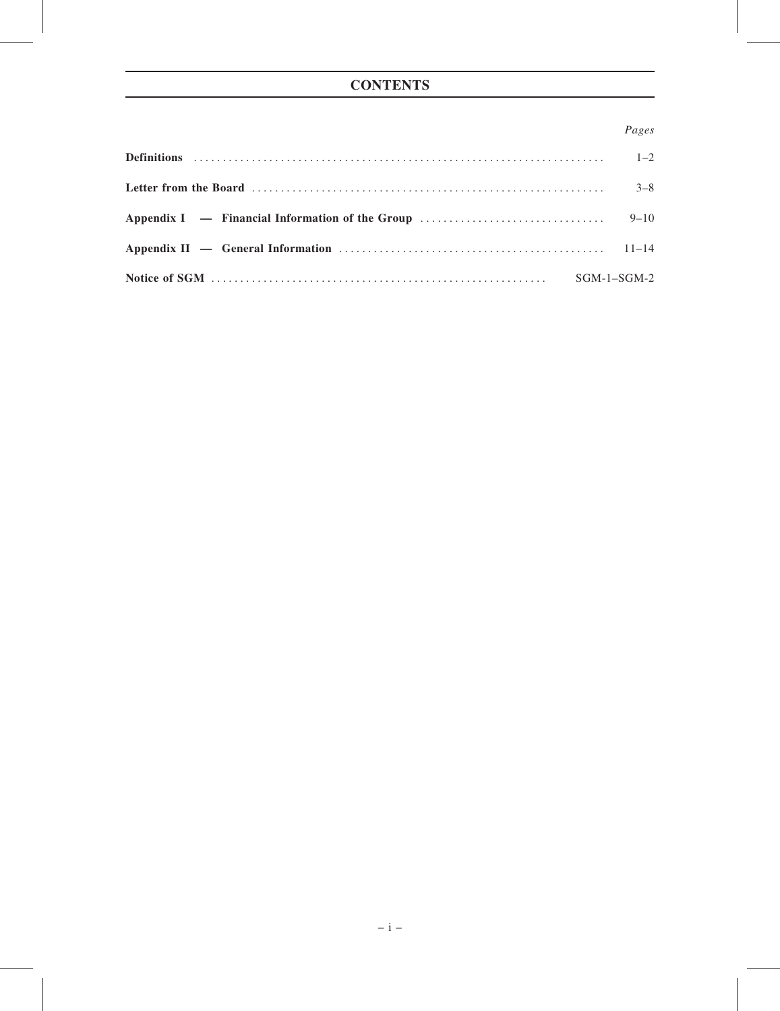## Pages

| $3 - 8$       |
|---------------|
|               |
|               |
| $SGM-1-SGM-2$ |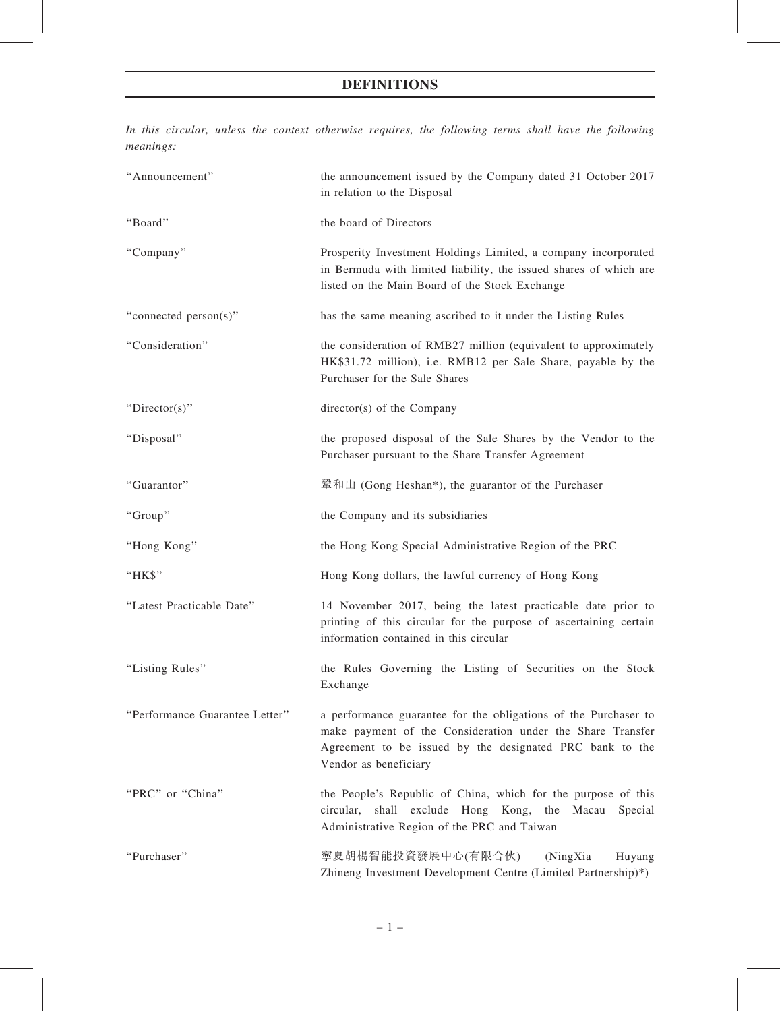## DEFINITIONS

In this circular, unless the context otherwise requires, the following terms shall have the following meanings:

| "Announcement"                 | the announcement issued by the Company dated 31 October 2017<br>in relation to the Disposal                                                                                                                        |
|--------------------------------|--------------------------------------------------------------------------------------------------------------------------------------------------------------------------------------------------------------------|
| "Board"                        | the board of Directors                                                                                                                                                                                             |
| "Company"                      | Prosperity Investment Holdings Limited, a company incorporated<br>in Bermuda with limited liability, the issued shares of which are<br>listed on the Main Board of the Stock Exchange                              |
| "connected person(s)"          | has the same meaning ascribed to it under the Listing Rules                                                                                                                                                        |
| "Consideration"                | the consideration of RMB27 million (equivalent to approximately<br>HK\$31.72 million), i.e. RMB12 per Sale Share, payable by the<br>Purchaser for the Sale Shares                                                  |
| "Director(s)"                  | director(s) of the Company                                                                                                                                                                                         |
| "Disposal"                     | the proposed disposal of the Sale Shares by the Vendor to the<br>Purchaser pursuant to the Share Transfer Agreement                                                                                                |
| "Guarantor"                    | 鞏和山 (Gong Heshan*), the guarantor of the Purchaser                                                                                                                                                                 |
| "Group"                        | the Company and its subsidiaries                                                                                                                                                                                   |
| "Hong Kong"                    | the Hong Kong Special Administrative Region of the PRC                                                                                                                                                             |
| "HK\$"                         | Hong Kong dollars, the lawful currency of Hong Kong                                                                                                                                                                |
| "Latest Practicable Date"      | 14 November 2017, being the latest practicable date prior to<br>printing of this circular for the purpose of ascertaining certain<br>information contained in this circular                                        |
| "Listing Rules"                | the Rules Governing the Listing of Securities on the Stock<br>Exchange                                                                                                                                             |
| "Performance Guarantee Letter" | a performance guarantee for the obligations of the Purchaser to<br>make payment of the Consideration under the Share Transfer<br>Agreement to be issued by the designated PRC bank to the<br>Vendor as beneficiary |
| "PRC" or "China"               | the People's Republic of China, which for the purpose of this<br>circular, shall exclude Hong Kong, the<br>Macau<br>Special<br>Administrative Region of the PRC and Taiwan                                         |
| "Purchaser"                    | 寧夏胡楊智能投資發展中心(有限合伙)<br>(NingXia<br>Huyang<br>Zhineng Investment Development Centre (Limited Partnership)*)                                                                                                          |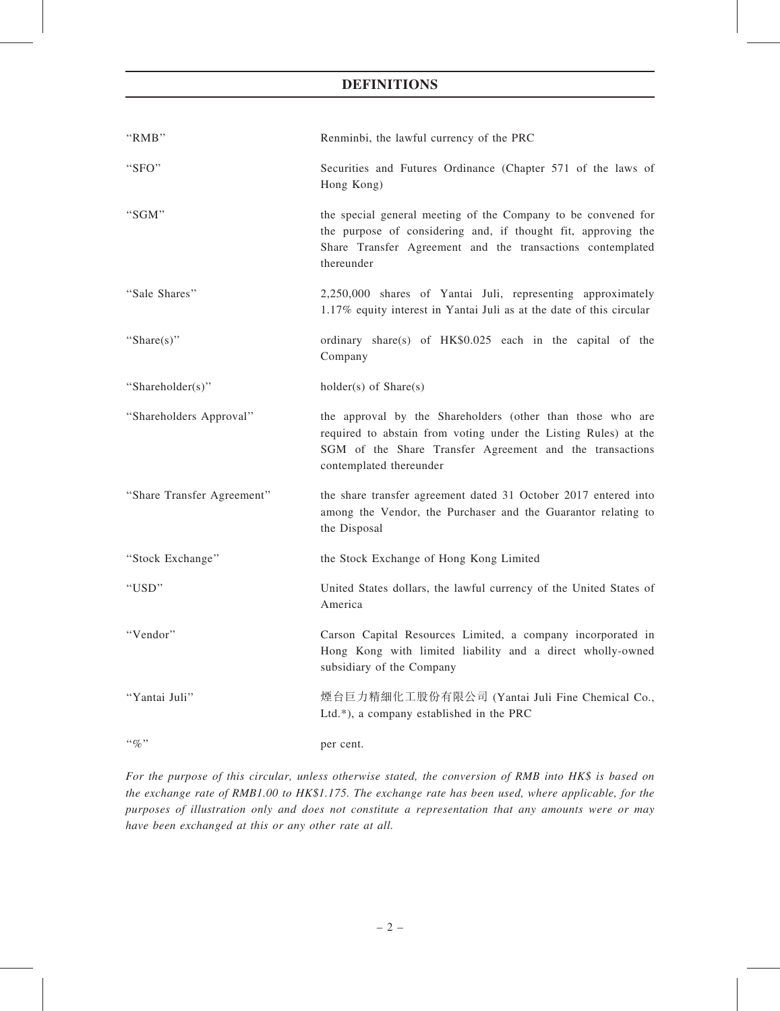## DEFINITIONS

| "RMB"                      | Renminbi, the lawful currency of the PRC                                                                                                                                                                             |
|----------------------------|----------------------------------------------------------------------------------------------------------------------------------------------------------------------------------------------------------------------|
| "SFO"                      | Securities and Futures Ordinance (Chapter 571 of the laws of<br>Hong Kong)                                                                                                                                           |
| "SGM"                      | the special general meeting of the Company to be convened for<br>the purpose of considering and, if thought fit, approving the<br>Share Transfer Agreement and the transactions contemplated<br>thereunder           |
| "Sale Shares"              | 2,250,000 shares of Yantai Juli, representing approximately<br>1.17% equity interest in Yantai Juli as at the date of this circular                                                                                  |
| "Share $(s)$ "             | ordinary share(s) of HK\$0.025 each in the capital of the<br>Company                                                                                                                                                 |
| "Shareholder(s)"           | $holder(s)$ of $Share(s)$                                                                                                                                                                                            |
| "Shareholders Approval"    | the approval by the Shareholders (other than those who are<br>required to abstain from voting under the Listing Rules) at the<br>SGM of the Share Transfer Agreement and the transactions<br>contemplated thereunder |
| "Share Transfer Agreement" | the share transfer agreement dated 31 October 2017 entered into<br>among the Vendor, the Purchaser and the Guarantor relating to<br>the Disposal                                                                     |
| "Stock Exchange"           | the Stock Exchange of Hong Kong Limited                                                                                                                                                                              |
| "USD"                      | United States dollars, the lawful currency of the United States of<br>America                                                                                                                                        |
| "Vendor"                   | Carson Capital Resources Limited, a company incorporated in<br>Hong Kong with limited liability and a direct wholly-owned<br>subsidiary of the Company                                                               |
| "Yantai Juli"              | 煙台巨力精細化工股份有限公司 (Yantai Juli Fine Chemical Co.,<br>Ltd.*), a company established in the PRC                                                                                                                           |
| $``\%"$                    | per cent.                                                                                                                                                                                                            |

For the purpose of this circular, unless otherwise stated, the conversion of RMB into HK\$ is based on the exchange rate of RMB1.00 to HK\$1.175. The exchange rate has been used, where applicable, for the purposes of illustration only and does not constitute a representation that any amounts were or may have been exchanged at this or any other rate at all.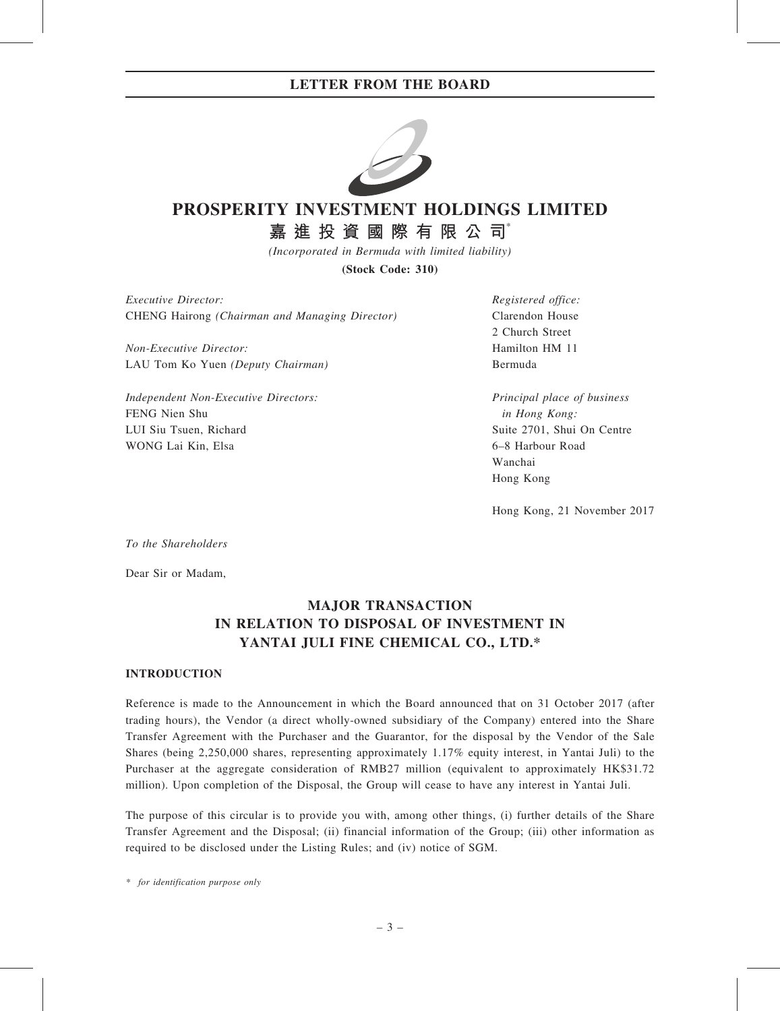

# PROSPERITY INVESTMENT HOLDINGS LIMITED

嘉進 投 資 國 際 有 限 公 司

(Incorporated in Bermuda with limited liability)

(Stock Code: 310)

Executive Director: CHENG Hairong (Chairman and Managing Director)

Non-Executive Director: LAU Tom Ko Yuen (Deputy Chairman)

Independent Non-Executive Directors: FENG Nien Shu LUI Siu Tsuen, Richard WONG Lai Kin, Elsa

Registered office: Clarendon House 2 Church Street Hamilton HM 11 Bermuda

Principal place of business in Hong Kong: Suite 2701, Shui On Centre 6–8 Harbour Road Wanchai Hong Kong

Hong Kong, 21 November 2017

To the Shareholders

Dear Sir or Madam,

# MAJOR TRANSACTION IN RELATION TO DISPOSAL OF INVESTMENT IN YANTAI JULI FINE CHEMICAL CO., LTD.\*

### **INTRODUCTION**

Reference is made to the Announcement in which the Board announced that on 31 October 2017 (after trading hours), the Vendor (a direct wholly-owned subsidiary of the Company) entered into the Share Transfer Agreement with the Purchaser and the Guarantor, for the disposal by the Vendor of the Sale Shares (being 2,250,000 shares, representing approximately 1.17% equity interest, in Yantai Juli) to the Purchaser at the aggregate consideration of RMB27 million (equivalent to approximately HK\$31.72 million). Upon completion of the Disposal, the Group will cease to have any interest in Yantai Juli.

The purpose of this circular is to provide you with, among other things, (i) further details of the Share Transfer Agreement and the Disposal; (ii) financial information of the Group; (iii) other information as required to be disclosed under the Listing Rules; and (iv) notice of SGM.

\* for identification purpose only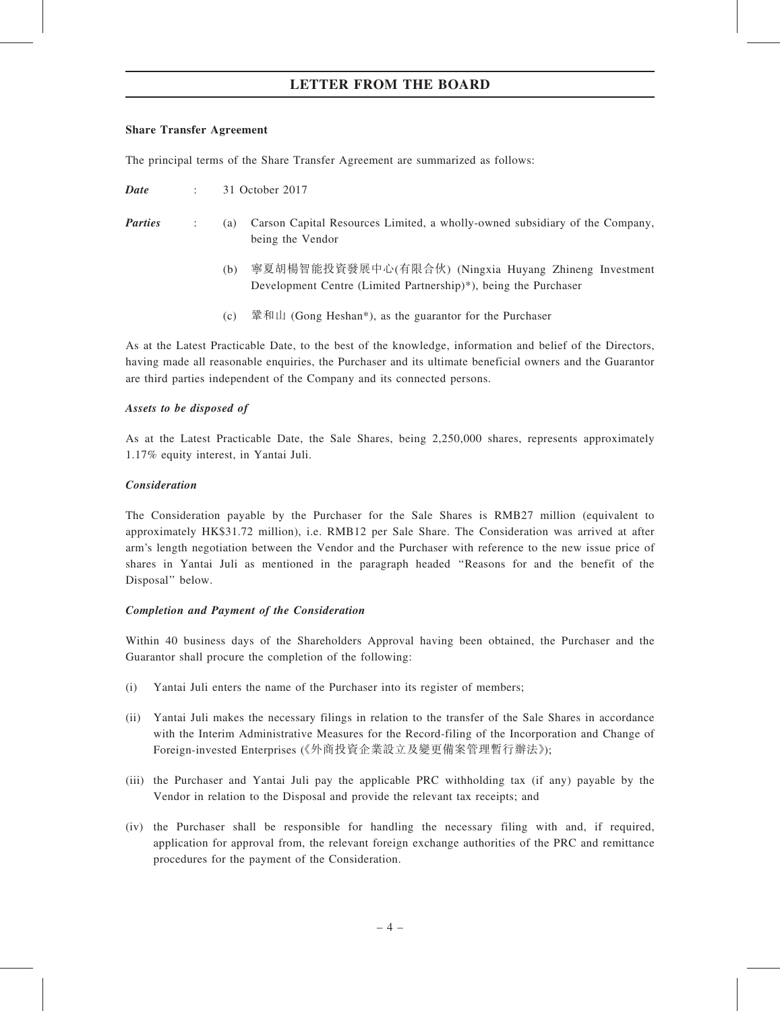#### Share Transfer Agreement

The principal terms of the Share Transfer Agreement are summarized as follows:

| Date | 31 October 2017 |
|------|-----------------|
|------|-----------------|

- Parties : (a) Carson Capital Resources Limited, a wholly-owned subsidiary of the Company, being the Vendor
	- (b) 寧夏胡楊智能投資發展中心(有限合伙) (Ningxia Huyang Zhineng Investment Development Centre (Limited Partnership)\*), being the Purchaser
	- (c) 鞏和山 (Gong Heshan\*), as the guarantor for the Purchaser

As at the Latest Practicable Date, to the best of the knowledge, information and belief of the Directors, having made all reasonable enquiries, the Purchaser and its ultimate beneficial owners and the Guarantor are third parties independent of the Company and its connected persons.

## Assets to be disposed of

As at the Latest Practicable Date, the Sale Shares, being 2,250,000 shares, represents approximately 1.17% equity interest, in Yantai Juli.

### Consideration

The Consideration payable by the Purchaser for the Sale Shares is RMB27 million (equivalent to approximately HK\$31.72 million), i.e. RMB12 per Sale Share. The Consideration was arrived at after arm's length negotiation between the Vendor and the Purchaser with reference to the new issue price of shares in Yantai Juli as mentioned in the paragraph headed ''Reasons for and the benefit of the Disposal'' below.

### Completion and Payment of the Consideration

Within 40 business days of the Shareholders Approval having been obtained, the Purchaser and the Guarantor shall procure the completion of the following:

- (i) Yantai Juli enters the name of the Purchaser into its register of members;
- (ii) Yantai Juli makes the necessary filings in relation to the transfer of the Sale Shares in accordance with the Interim Administrative Measures for the Record-filing of the Incorporation and Change of Foreign-invested Enterprises (《外商投資企業設立及變更備案管理暫行辦法》);
- (iii) the Purchaser and Yantai Juli pay the applicable PRC withholding tax (if any) payable by the Vendor in relation to the Disposal and provide the relevant tax receipts; and
- (iv) the Purchaser shall be responsible for handling the necessary filing with and, if required, application for approval from, the relevant foreign exchange authorities of the PRC and remittance procedures for the payment of the Consideration.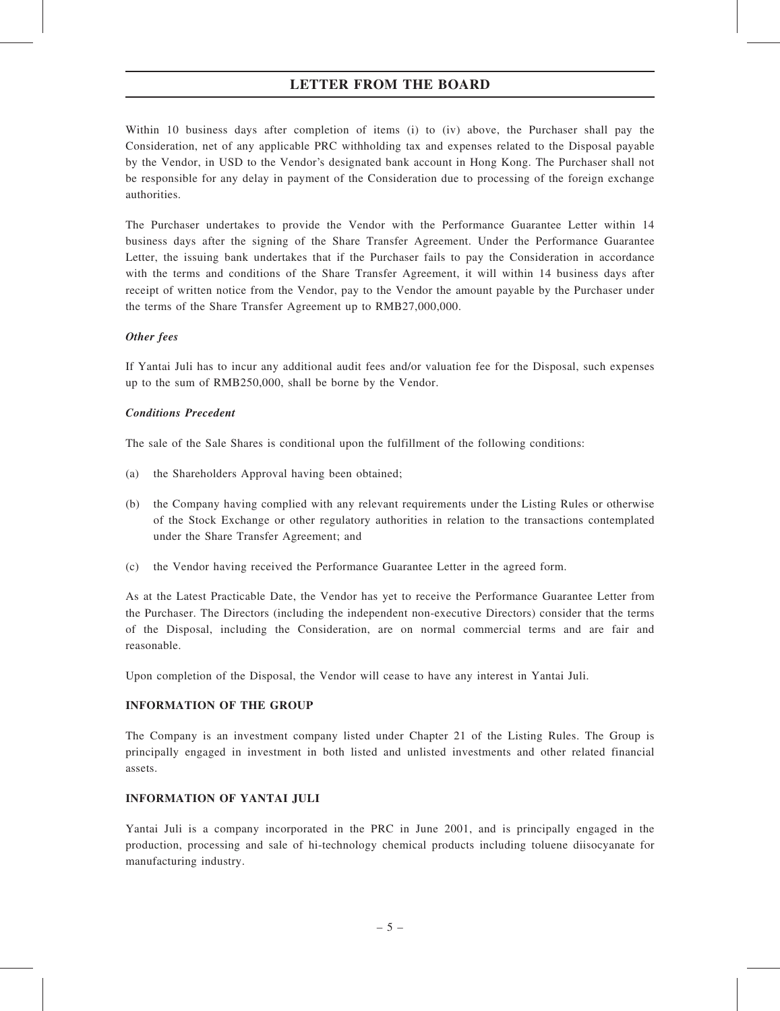Within 10 business days after completion of items (i) to (iv) above, the Purchaser shall pay the Consideration, net of any applicable PRC withholding tax and expenses related to the Disposal payable by the Vendor, in USD to the Vendor's designated bank account in Hong Kong. The Purchaser shall not be responsible for any delay in payment of the Consideration due to processing of the foreign exchange authorities.

The Purchaser undertakes to provide the Vendor with the Performance Guarantee Letter within 14 business days after the signing of the Share Transfer Agreement. Under the Performance Guarantee Letter, the issuing bank undertakes that if the Purchaser fails to pay the Consideration in accordance with the terms and conditions of the Share Transfer Agreement, it will within 14 business days after receipt of written notice from the Vendor, pay to the Vendor the amount payable by the Purchaser under the terms of the Share Transfer Agreement up to RMB27,000,000.

## Other fees

If Yantai Juli has to incur any additional audit fees and/or valuation fee for the Disposal, such expenses up to the sum of RMB250,000, shall be borne by the Vendor.

## Conditions Precedent

The sale of the Sale Shares is conditional upon the fulfillment of the following conditions:

- (a) the Shareholders Approval having been obtained;
- (b) the Company having complied with any relevant requirements under the Listing Rules or otherwise of the Stock Exchange or other regulatory authorities in relation to the transactions contemplated under the Share Transfer Agreement; and
- (c) the Vendor having received the Performance Guarantee Letter in the agreed form.

As at the Latest Practicable Date, the Vendor has yet to receive the Performance Guarantee Letter from the Purchaser. The Directors (including the independent non-executive Directors) consider that the terms of the Disposal, including the Consideration, are on normal commercial terms and are fair and reasonable.

Upon completion of the Disposal, the Vendor will cease to have any interest in Yantai Juli.

### INFORMATION OF THE GROUP

The Company is an investment company listed under Chapter 21 of the Listing Rules. The Group is principally engaged in investment in both listed and unlisted investments and other related financial assets.

## INFORMATION OF YANTAI JULI

Yantai Juli is a company incorporated in the PRC in June 2001, and is principally engaged in the production, processing and sale of hi-technology chemical products including toluene diisocyanate for manufacturing industry.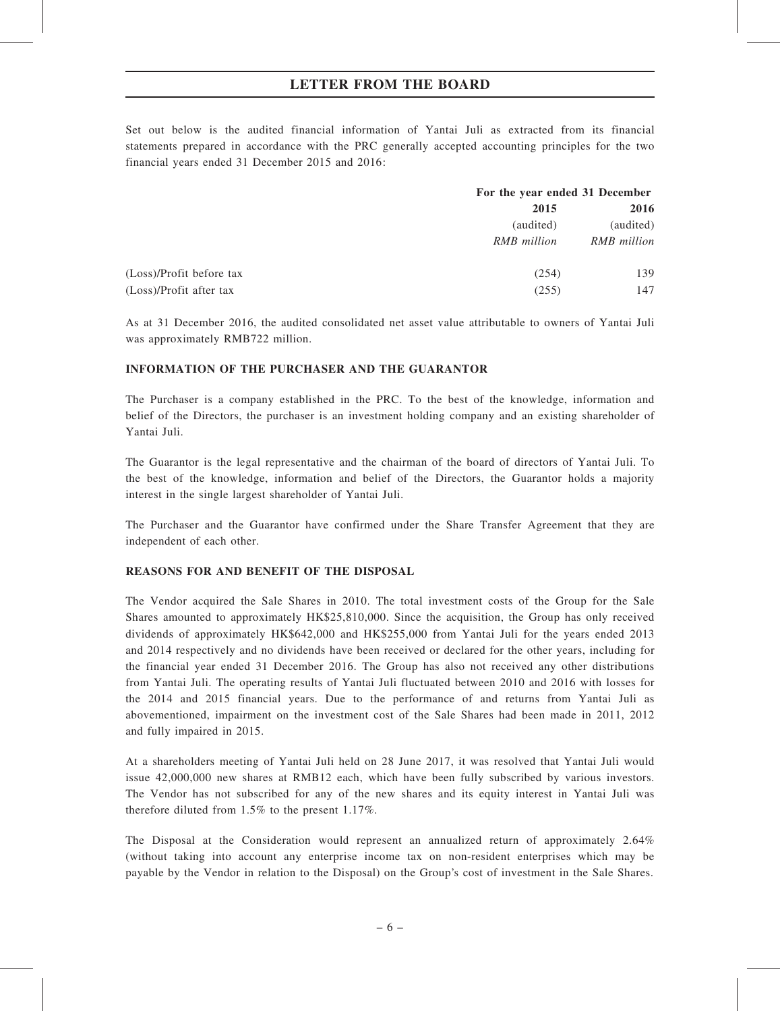Set out below is the audited financial information of Yantai Juli as extracted from its financial statements prepared in accordance with the PRC generally accepted accounting principles for the two financial years ended 31 December 2015 and 2016:

|                          |             | For the year ended 31 December |  |
|--------------------------|-------------|--------------------------------|--|
|                          | 2015        | 2016                           |  |
|                          | (audited)   | (audited)                      |  |
|                          | RMB million | RMB million                    |  |
| (Loss)/Profit before tax | (254)       | 139                            |  |
| (Loss)/Profit after tax  | (255)       | 147                            |  |

As at 31 December 2016, the audited consolidated net asset value attributable to owners of Yantai Juli was approximately RMB722 million.

### INFORMATION OF THE PURCHASER AND THE GUARANTOR

The Purchaser is a company established in the PRC. To the best of the knowledge, information and belief of the Directors, the purchaser is an investment holding company and an existing shareholder of Yantai Juli.

The Guarantor is the legal representative and the chairman of the board of directors of Yantai Juli. To the best of the knowledge, information and belief of the Directors, the Guarantor holds a majority interest in the single largest shareholder of Yantai Juli.

The Purchaser and the Guarantor have confirmed under the Share Transfer Agreement that they are independent of each other.

### REASONS FOR AND BENEFIT OF THE DISPOSAL

The Vendor acquired the Sale Shares in 2010. The total investment costs of the Group for the Sale Shares amounted to approximately HK\$25,810,000. Since the acquisition, the Group has only received dividends of approximately HK\$642,000 and HK\$255,000 from Yantai Juli for the years ended 2013 and 2014 respectively and no dividends have been received or declared for the other years, including for the financial year ended 31 December 2016. The Group has also not received any other distributions from Yantai Juli. The operating results of Yantai Juli fluctuated between 2010 and 2016 with losses for the 2014 and 2015 financial years. Due to the performance of and returns from Yantai Juli as abovementioned, impairment on the investment cost of the Sale Shares had been made in 2011, 2012 and fully impaired in 2015.

At a shareholders meeting of Yantai Juli held on 28 June 2017, it was resolved that Yantai Juli would issue 42,000,000 new shares at RMB12 each, which have been fully subscribed by various investors. The Vendor has not subscribed for any of the new shares and its equity interest in Yantai Juli was therefore diluted from 1.5% to the present 1.17%.

The Disposal at the Consideration would represent an annualized return of approximately 2.64% (without taking into account any enterprise income tax on non-resident enterprises which may be payable by the Vendor in relation to the Disposal) on the Group's cost of investment in the Sale Shares.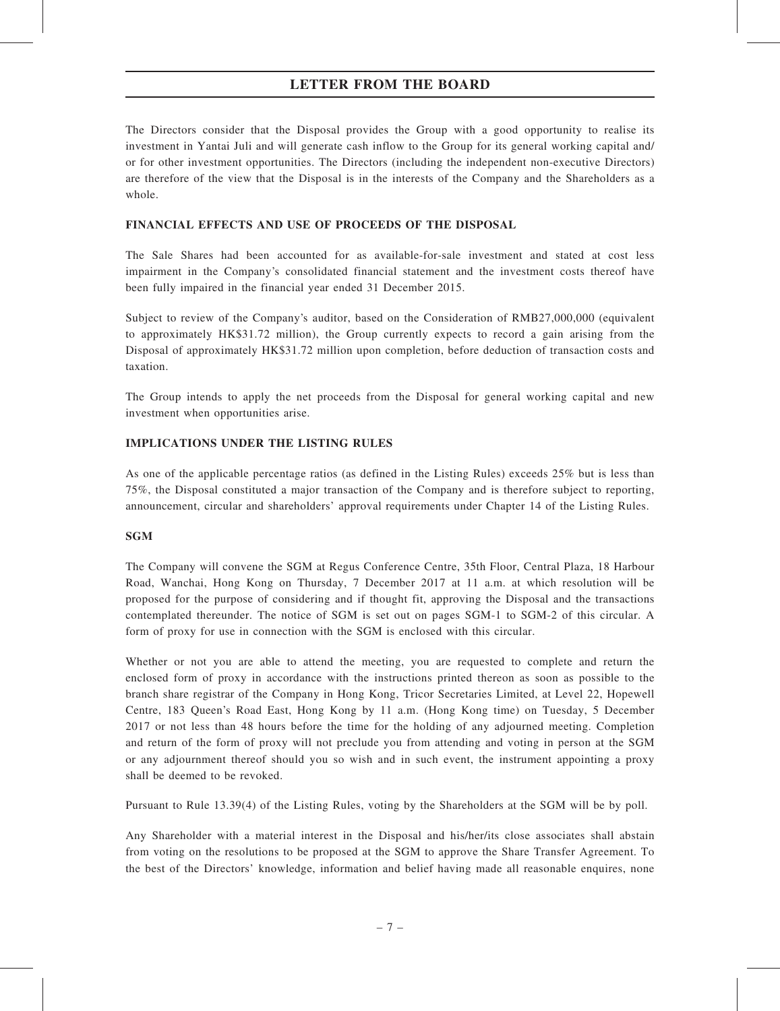The Directors consider that the Disposal provides the Group with a good opportunity to realise its investment in Yantai Juli and will generate cash inflow to the Group for its general working capital and/ or for other investment opportunities. The Directors (including the independent non-executive Directors) are therefore of the view that the Disposal is in the interests of the Company and the Shareholders as a whole.

### FINANCIAL EFFECTS AND USE OF PROCEEDS OF THE DISPOSAL

The Sale Shares had been accounted for as available-for-sale investment and stated at cost less impairment in the Company's consolidated financial statement and the investment costs thereof have been fully impaired in the financial year ended 31 December 2015.

Subject to review of the Company's auditor, based on the Consideration of RMB27,000,000 (equivalent to approximately HK\$31.72 million), the Group currently expects to record a gain arising from the Disposal of approximately HK\$31.72 million upon completion, before deduction of transaction costs and taxation.

The Group intends to apply the net proceeds from the Disposal for general working capital and new investment when opportunities arise.

## IMPLICATIONS UNDER THE LISTING RULES

As one of the applicable percentage ratios (as defined in the Listing Rules) exceeds 25% but is less than 75%, the Disposal constituted a major transaction of the Company and is therefore subject to reporting, announcement, circular and shareholders' approval requirements under Chapter 14 of the Listing Rules.

### SGM

The Company will convene the SGM at Regus Conference Centre, 35th Floor, Central Plaza, 18 Harbour Road, Wanchai, Hong Kong on Thursday, 7 December 2017 at 11 a.m. at which resolution will be proposed for the purpose of considering and if thought fit, approving the Disposal and the transactions contemplated thereunder. The notice of SGM is set out on pages SGM-1 to SGM-2 of this circular. A form of proxy for use in connection with the SGM is enclosed with this circular.

Whether or not you are able to attend the meeting, you are requested to complete and return the enclosed form of proxy in accordance with the instructions printed thereon as soon as possible to the branch share registrar of the Company in Hong Kong, Tricor Secretaries Limited, at Level 22, Hopewell Centre, 183 Queen's Road East, Hong Kong by 11 a.m. (Hong Kong time) on Tuesday, 5 December 2017 or not less than 48 hours before the time for the holding of any adjourned meeting. Completion and return of the form of proxy will not preclude you from attending and voting in person at the SGM or any adjournment thereof should you so wish and in such event, the instrument appointing a proxy shall be deemed to be revoked.

Pursuant to Rule 13.39(4) of the Listing Rules, voting by the Shareholders at the SGM will be by poll.

Any Shareholder with a material interest in the Disposal and his/her/its close associates shall abstain from voting on the resolutions to be proposed at the SGM to approve the Share Transfer Agreement. To the best of the Directors' knowledge, information and belief having made all reasonable enquires, none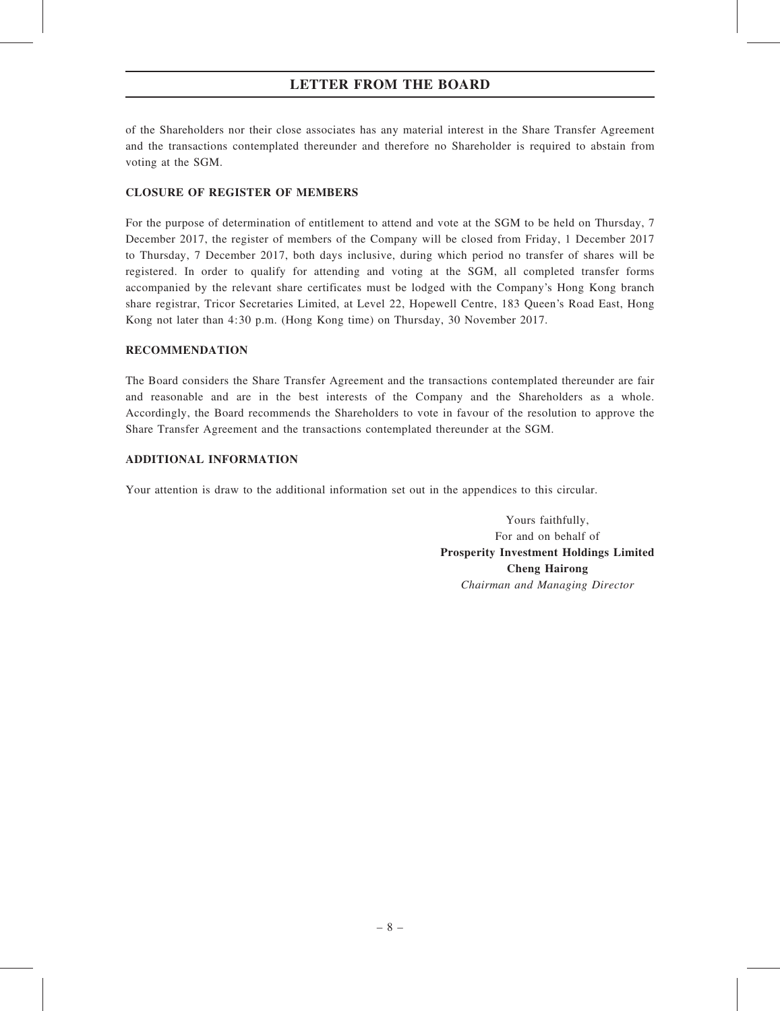of the Shareholders nor their close associates has any material interest in the Share Transfer Agreement and the transactions contemplated thereunder and therefore no Shareholder is required to abstain from voting at the SGM.

## CLOSURE OF REGISTER OF MEMBERS

For the purpose of determination of entitlement to attend and vote at the SGM to be held on Thursday, 7 December 2017, the register of members of the Company will be closed from Friday, 1 December 2017 to Thursday, 7 December 2017, both days inclusive, during which period no transfer of shares will be registered. In order to qualify for attending and voting at the SGM, all completed transfer forms accompanied by the relevant share certificates must be lodged with the Company's Hong Kong branch share registrar, Tricor Secretaries Limited, at Level 22, Hopewell Centre, 183 Queen's Road East, Hong Kong not later than 4:30 p.m. (Hong Kong time) on Thursday, 30 November 2017.

### RECOMMENDATION

The Board considers the Share Transfer Agreement and the transactions contemplated thereunder are fair and reasonable and are in the best interests of the Company and the Shareholders as a whole. Accordingly, the Board recommends the Shareholders to vote in favour of the resolution to approve the Share Transfer Agreement and the transactions contemplated thereunder at the SGM.

## ADDITIONAL INFORMATION

Your attention is draw to the additional information set out in the appendices to this circular.

Yours faithfully, For and on behalf of Prosperity Investment Holdings Limited Cheng Hairong Chairman and Managing Director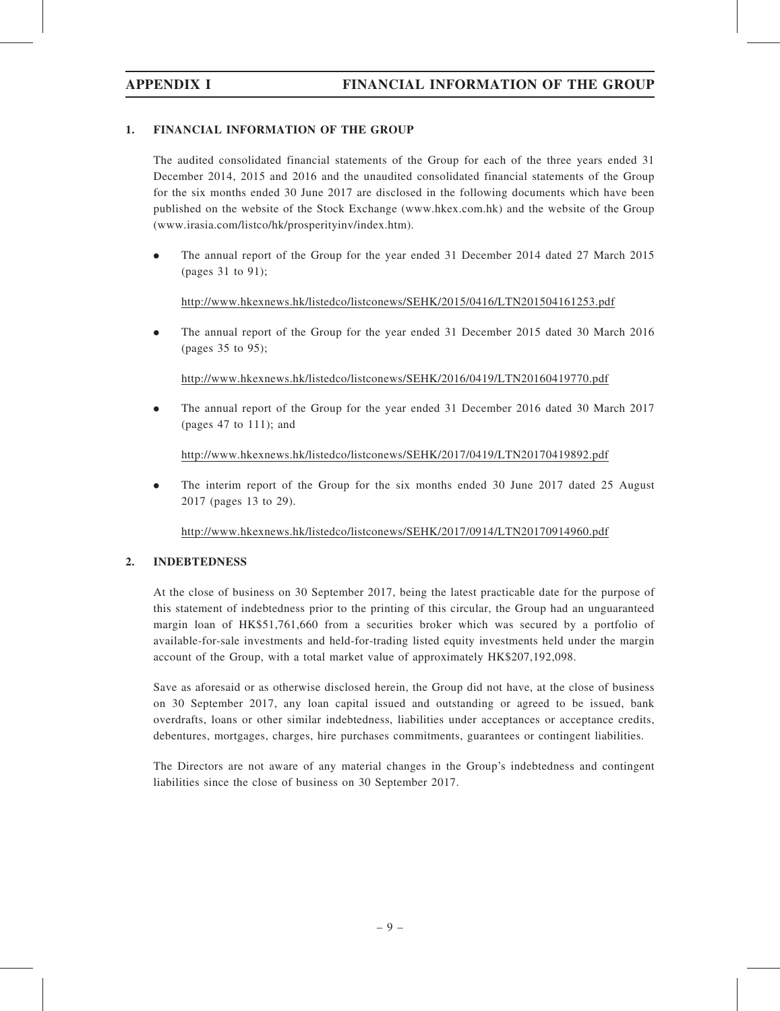## 1. FINANCIAL INFORMATION OF THE GROUP

The audited consolidated financial statements of the Group for each of the three years ended 31 December 2014, 2015 and 2016 and the unaudited consolidated financial statements of the Group for the six months ended 30 June 2017 are disclosed in the following documents which have been published on the website of the Stock Exchange (www.hkex.com.hk) and the website of the Group (www.irasia.com/listco/hk/prosperityinv/index.htm).

. The annual report of the Group for the year ended 31 December 2014 dated 27 March 2015 (pages 31 to 91);

http://www.hkexnews.hk/listedco/listconews/SEHK/2015/0416/LTN201504161253.pdf

. The annual report of the Group for the year ended 31 December 2015 dated 30 March 2016 (pages 35 to 95);

http://www.hkexnews.hk/listedco/listconews/SEHK/2016/0419/LTN20160419770.pdf

. The annual report of the Group for the year ended 31 December 2016 dated 30 March 2017 (pages 47 to 111); and

http://www.hkexnews.hk/listedco/listconews/SEHK/2017/0419/LTN20170419892.pdf

. The interim report of the Group for the six months ended 30 June 2017 dated 25 August 2017 (pages 13 to 29).

http://www.hkexnews.hk/listedco/listconews/SEHK/2017/0914/LTN20170914960.pdf

### 2. INDEBTEDNESS

At the close of business on 30 September 2017, being the latest practicable date for the purpose of this statement of indebtedness prior to the printing of this circular, the Group had an unguaranteed margin loan of HK\$51,761,660 from a securities broker which was secured by a portfolio of available-for-sale investments and held-for-trading listed equity investments held under the margin account of the Group, with a total market value of approximately HK\$207,192,098.

Save as aforesaid or as otherwise disclosed herein, the Group did not have, at the close of business on 30 September 2017, any loan capital issued and outstanding or agreed to be issued, bank overdrafts, loans or other similar indebtedness, liabilities under acceptances or acceptance credits, debentures, mortgages, charges, hire purchases commitments, guarantees or contingent liabilities.

The Directors are not aware of any material changes in the Group's indebtedness and contingent liabilities since the close of business on 30 September 2017.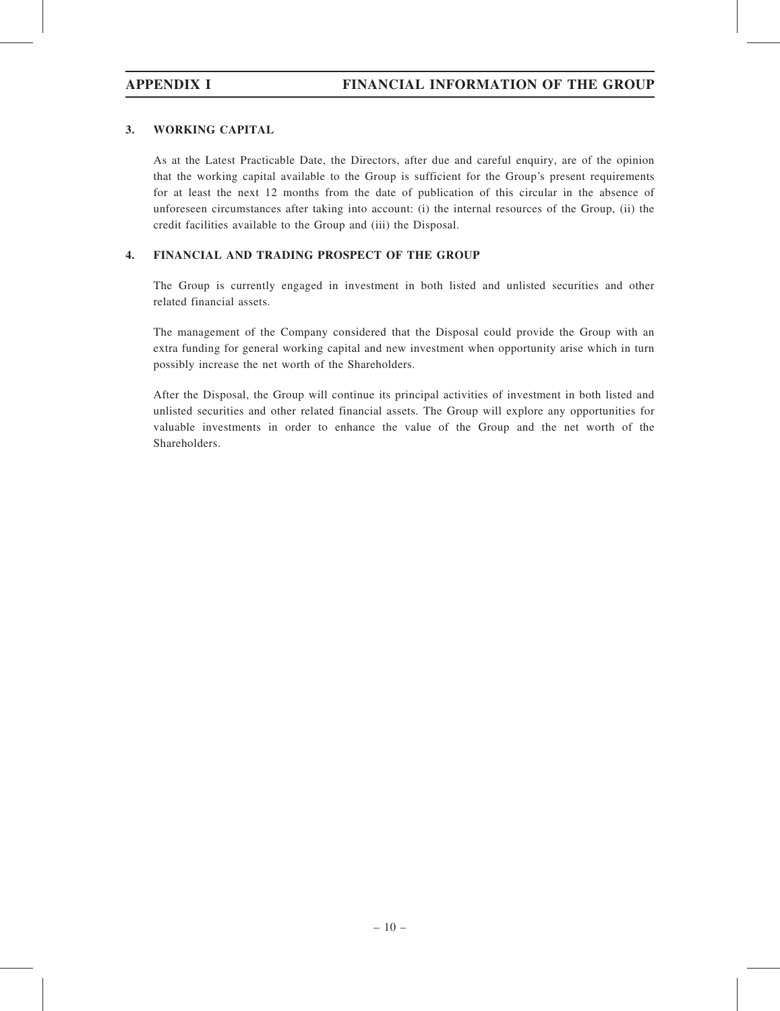## 3. WORKING CAPITAL

As at the Latest Practicable Date, the Directors, after due and careful enquiry, are of the opinion that the working capital available to the Group is sufficient for the Group's present requirements for at least the next 12 months from the date of publication of this circular in the absence of unforeseen circumstances after taking into account: (i) the internal resources of the Group, (ii) the credit facilities available to the Group and (iii) the Disposal.

## 4. FINANCIAL AND TRADING PROSPECT OF THE GROUP

The Group is currently engaged in investment in both listed and unlisted securities and other related financial assets.

The management of the Company considered that the Disposal could provide the Group with an extra funding for general working capital and new investment when opportunity arise which in turn possibly increase the net worth of the Shareholders.

After the Disposal, the Group will continue its principal activities of investment in both listed and unlisted securities and other related financial assets. The Group will explore any opportunities for valuable investments in order to enhance the value of the Group and the net worth of the Shareholders.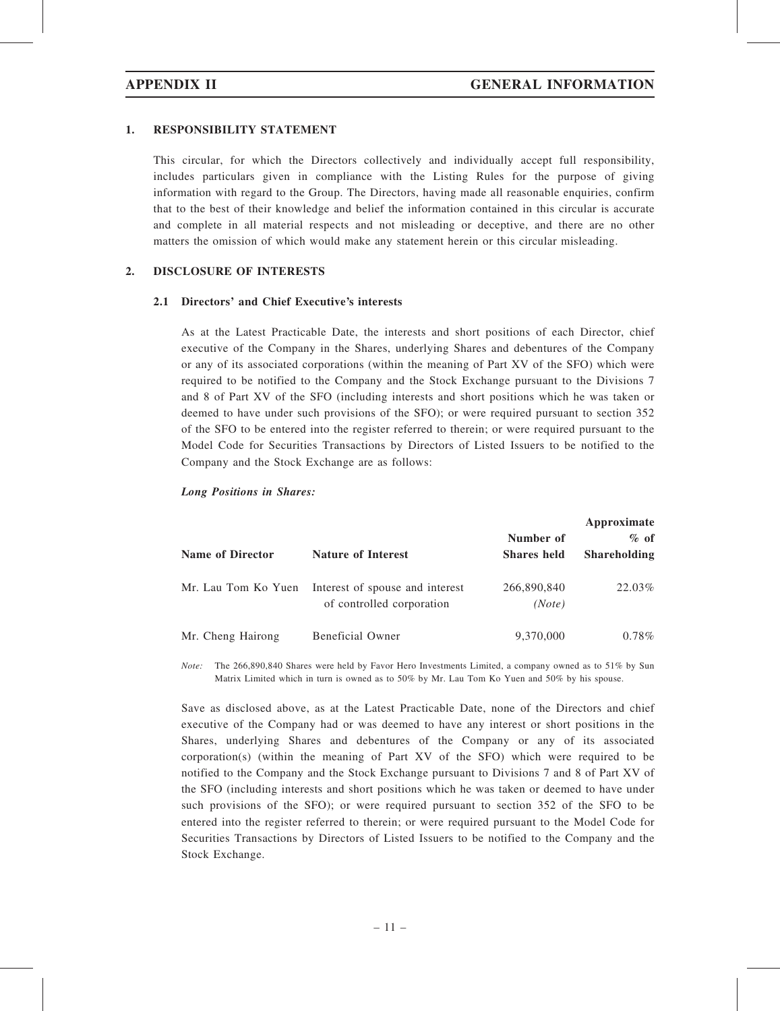### 1. RESPONSIBILITY STATEMENT

This circular, for which the Directors collectively and individually accept full responsibility, includes particulars given in compliance with the Listing Rules for the purpose of giving information with regard to the Group. The Directors, having made all reasonable enquiries, confirm that to the best of their knowledge and belief the information contained in this circular is accurate and complete in all material respects and not misleading or deceptive, and there are no other matters the omission of which would make any statement herein or this circular misleading.

#### 2. DISCLOSURE OF INTERESTS

#### 2.1 Directors' and Chief Executive's interests

As at the Latest Practicable Date, the interests and short positions of each Director, chief executive of the Company in the Shares, underlying Shares and debentures of the Company or any of its associated corporations (within the meaning of Part XV of the SFO) which were required to be notified to the Company and the Stock Exchange pursuant to the Divisions 7 and 8 of Part XV of the SFO (including interests and short positions which he was taken or deemed to have under such provisions of the SFO); or were required pursuant to section 352 of the SFO to be entered into the register referred to therein; or were required pursuant to the Model Code for Securities Transactions by Directors of Listed Issuers to be notified to the Company and the Stock Exchange are as follows:

#### Long Positions in Shares:

| <b>Name of Director</b> | <b>Nature of Interest</b>                                    | Number of<br><b>Shares</b> held | Approximate<br>$\%$ of<br><b>Shareholding</b> |
|-------------------------|--------------------------------------------------------------|---------------------------------|-----------------------------------------------|
| Mr. Lau Tom Ko Yuen     | Interest of spouse and interest<br>of controlled corporation | 266,890,840<br>(Note)           | 22.03%                                        |
| Mr. Cheng Hairong       | Beneficial Owner                                             | 9,370,000                       | $0.78\%$                                      |

Note: The 266,890,840 Shares were held by Favor Hero Investments Limited, a company owned as to 51% by Sun Matrix Limited which in turn is owned as to 50% by Mr. Lau Tom Ko Yuen and 50% by his spouse.

Save as disclosed above, as at the Latest Practicable Date, none of the Directors and chief executive of the Company had or was deemed to have any interest or short positions in the Shares, underlying Shares and debentures of the Company or any of its associated corporation(s) (within the meaning of Part XV of the SFO) which were required to be notified to the Company and the Stock Exchange pursuant to Divisions 7 and 8 of Part XV of the SFO (including interests and short positions which he was taken or deemed to have under such provisions of the SFO); or were required pursuant to section 352 of the SFO to be entered into the register referred to therein; or were required pursuant to the Model Code for Securities Transactions by Directors of Listed Issuers to be notified to the Company and the Stock Exchange.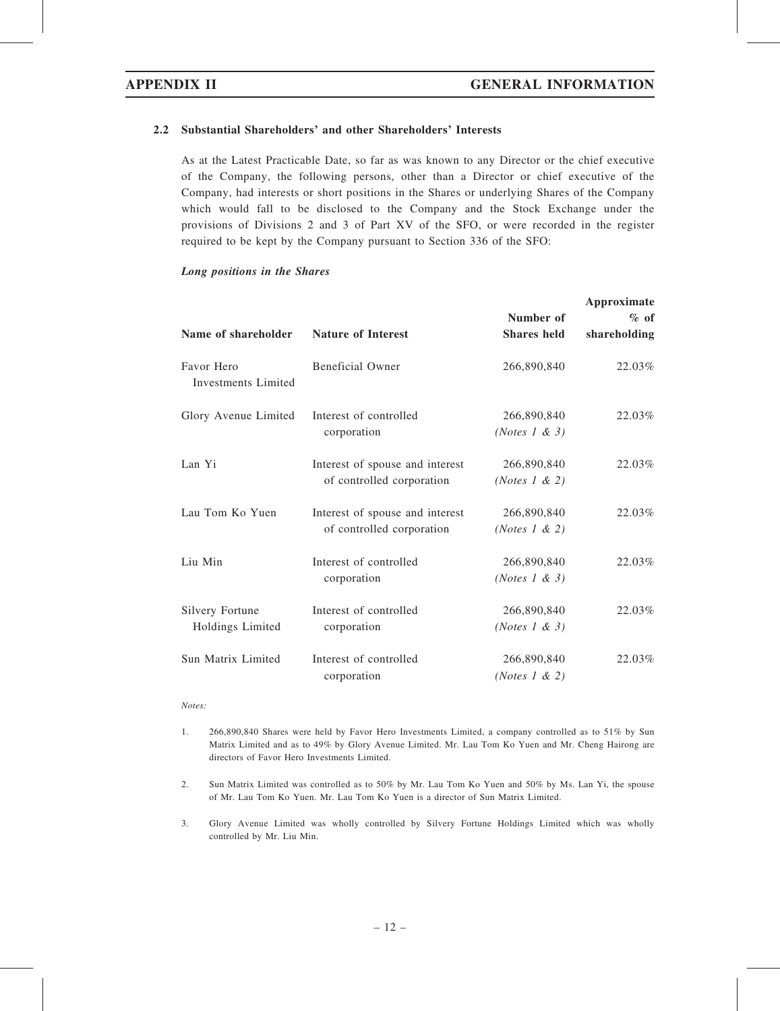### 2.2 Substantial Shareholders' and other Shareholders' Interests

As at the Latest Practicable Date, so far as was known to any Director or the chief executive of the Company, the following persons, other than a Director or chief executive of the Company, had interests or short positions in the Shares or underlying Shares of the Company which would fall to be disclosed to the Company and the Stock Exchange under the provisions of Divisions 2 and 3 of Part XV of the SFO, or were recorded in the register required to be kept by the Company pursuant to Section 336 of the SFO:

#### Long positions in the Shares

| Name of shareholder                        | <b>Nature of Interest</b>                                    | Number of<br><b>Shares held</b>          | Approximate<br>$%$ of<br>shareholding |
|--------------------------------------------|--------------------------------------------------------------|------------------------------------------|---------------------------------------|
| Favor Hero<br>Investments Limited          | <b>Beneficial Owner</b>                                      | 266,890,840                              | 22.03%                                |
| Glory Avenue Limited                       | Interest of controlled<br>corporation                        | 266,890,840<br>(Notes 1 & 3)             | 22.03%                                |
| Lan Yi                                     | Interest of spouse and interest<br>of controlled corporation | 266,890,840<br>(Notes $1 \& 2)$          | 22.03%                                |
| Lau Tom Ko Yuen                            | Interest of spouse and interest<br>of controlled corporation | 266,890,840<br>( <i>Notes</i> 1 & 2)     | 22.03%                                |
| Liu Min                                    | Interest of controlled<br>corporation                        | 266,890,840<br>( <i>Notes</i> 1 & 3)     | 22.03%                                |
| <b>Silvery Fortune</b><br>Holdings Limited | Interest of controlled<br>corporation                        | 266,890,840<br>( <i>Notes</i> $1 \& 3$ ) | $22.03\%$                             |
| Sun Matrix Limited                         | Interest of controlled<br>corporation                        | 266,890,840<br>( <i>Notes</i> 1 & 2)     | 22.03%                                |

Notes:

- 1. 266,890,840 Shares were held by Favor Hero Investments Limited, a company controlled as to 51% by Sun Matrix Limited and as to 49% by Glory Avenue Limited. Mr. Lau Tom Ko Yuen and Mr. Cheng Hairong are directors of Favor Hero Investments Limited.
- 2. Sun Matrix Limited was controlled as to 50% by Mr. Lau Tom Ko Yuen and 50% by Ms. Lan Yi, the spouse of Mr. Lau Tom Ko Yuen. Mr. Lau Tom Ko Yuen is a director of Sun Matrix Limited.
- 3. Glory Avenue Limited was wholly controlled by Silvery Fortune Holdings Limited which was wholly controlled by Mr. Liu Min.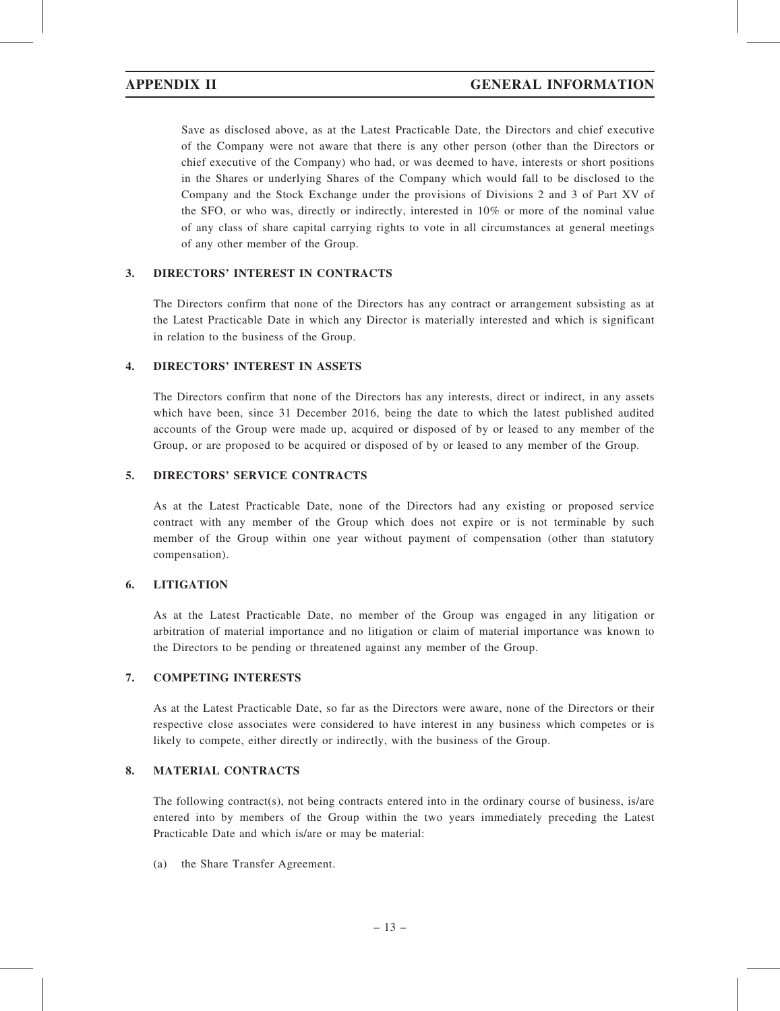Save as disclosed above, as at the Latest Practicable Date, the Directors and chief executive of the Company were not aware that there is any other person (other than the Directors or chief executive of the Company) who had, or was deemed to have, interests or short positions in the Shares or underlying Shares of the Company which would fall to be disclosed to the Company and the Stock Exchange under the provisions of Divisions 2 and 3 of Part XV of the SFO, or who was, directly or indirectly, interested in 10% or more of the nominal value of any class of share capital carrying rights to vote in all circumstances at general meetings of any other member of the Group.

#### 3. DIRECTORS' INTEREST IN CONTRACTS

The Directors confirm that none of the Directors has any contract or arrangement subsisting as at the Latest Practicable Date in which any Director is materially interested and which is significant in relation to the business of the Group.

#### 4. DIRECTORS' INTEREST IN ASSETS

The Directors confirm that none of the Directors has any interests, direct or indirect, in any assets which have been, since 31 December 2016, being the date to which the latest published audited accounts of the Group were made up, acquired or disposed of by or leased to any member of the Group, or are proposed to be acquired or disposed of by or leased to any member of the Group.

### 5. DIRECTORS' SERVICE CONTRACTS

As at the Latest Practicable Date, none of the Directors had any existing or proposed service contract with any member of the Group which does not expire or is not terminable by such member of the Group within one year without payment of compensation (other than statutory compensation).

#### 6. LITIGATION

As at the Latest Practicable Date, no member of the Group was engaged in any litigation or arbitration of material importance and no litigation or claim of material importance was known to the Directors to be pending or threatened against any member of the Group.

#### 7. COMPETING INTERESTS

As at the Latest Practicable Date, so far as the Directors were aware, none of the Directors or their respective close associates were considered to have interest in any business which competes or is likely to compete, either directly or indirectly, with the business of the Group.

### 8. MATERIAL CONTRACTS

The following contract(s), not being contracts entered into in the ordinary course of business, is/are entered into by members of the Group within the two years immediately preceding the Latest Practicable Date and which is/are or may be material:

(a) the Share Transfer Agreement.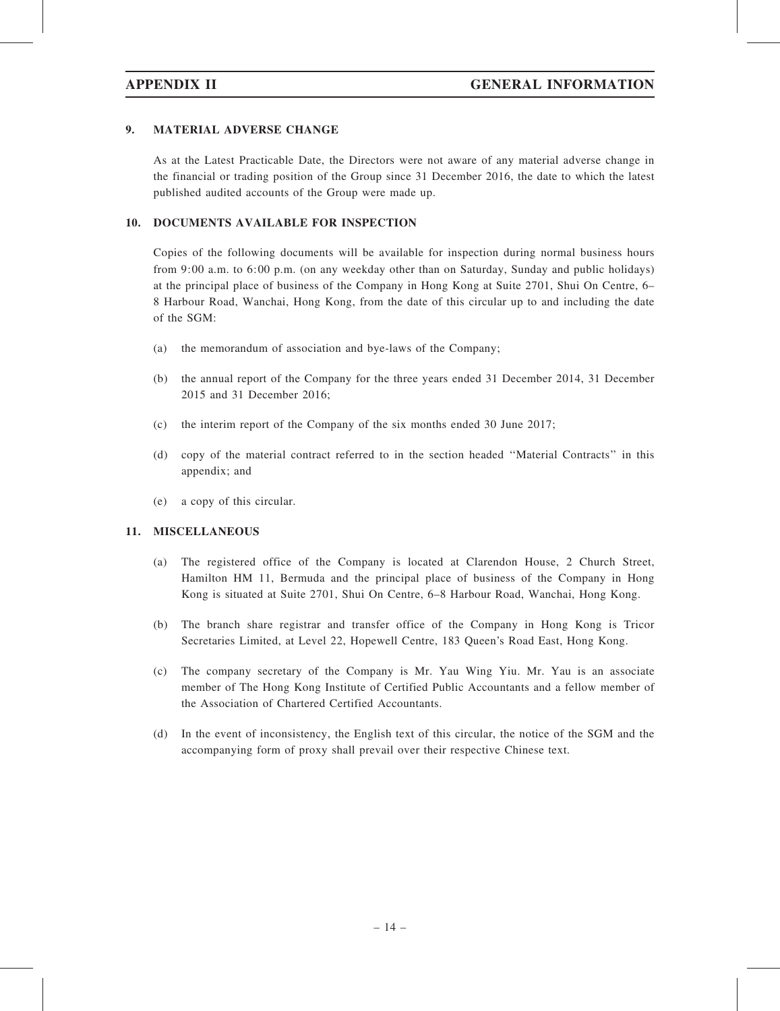### 9. MATERIAL ADVERSE CHANGE

As at the Latest Practicable Date, the Directors were not aware of any material adverse change in the financial or trading position of the Group since 31 December 2016, the date to which the latest published audited accounts of the Group were made up.

#### 10. DOCUMENTS AVAILABLE FOR INSPECTION

Copies of the following documents will be available for inspection during normal business hours from 9:00 a.m. to 6:00 p.m. (on any weekday other than on Saturday, Sunday and public holidays) at the principal place of business of the Company in Hong Kong at Suite 2701, Shui On Centre, 6– 8 Harbour Road, Wanchai, Hong Kong, from the date of this circular up to and including the date of the SGM:

- (a) the memorandum of association and bye-laws of the Company;
- (b) the annual report of the Company for the three years ended 31 December 2014, 31 December 2015 and 31 December 2016;
- (c) the interim report of the Company of the six months ended 30 June 2017;
- (d) copy of the material contract referred to in the section headed ''Material Contracts'' in this appendix; and
- (e) a copy of this circular.

### 11. MISCELLANEOUS

- (a) The registered office of the Company is located at Clarendon House, 2 Church Street, Hamilton HM 11, Bermuda and the principal place of business of the Company in Hong Kong is situated at Suite 2701, Shui On Centre, 6–8 Harbour Road, Wanchai, Hong Kong.
- (b) The branch share registrar and transfer office of the Company in Hong Kong is Tricor Secretaries Limited, at Level 22, Hopewell Centre, 183 Queen's Road East, Hong Kong.
- (c) The company secretary of the Company is Mr. Yau Wing Yiu. Mr. Yau is an associate member of The Hong Kong Institute of Certified Public Accountants and a fellow member of the Association of Chartered Certified Accountants.
- (d) In the event of inconsistency, the English text of this circular, the notice of the SGM and the accompanying form of proxy shall prevail over their respective Chinese text.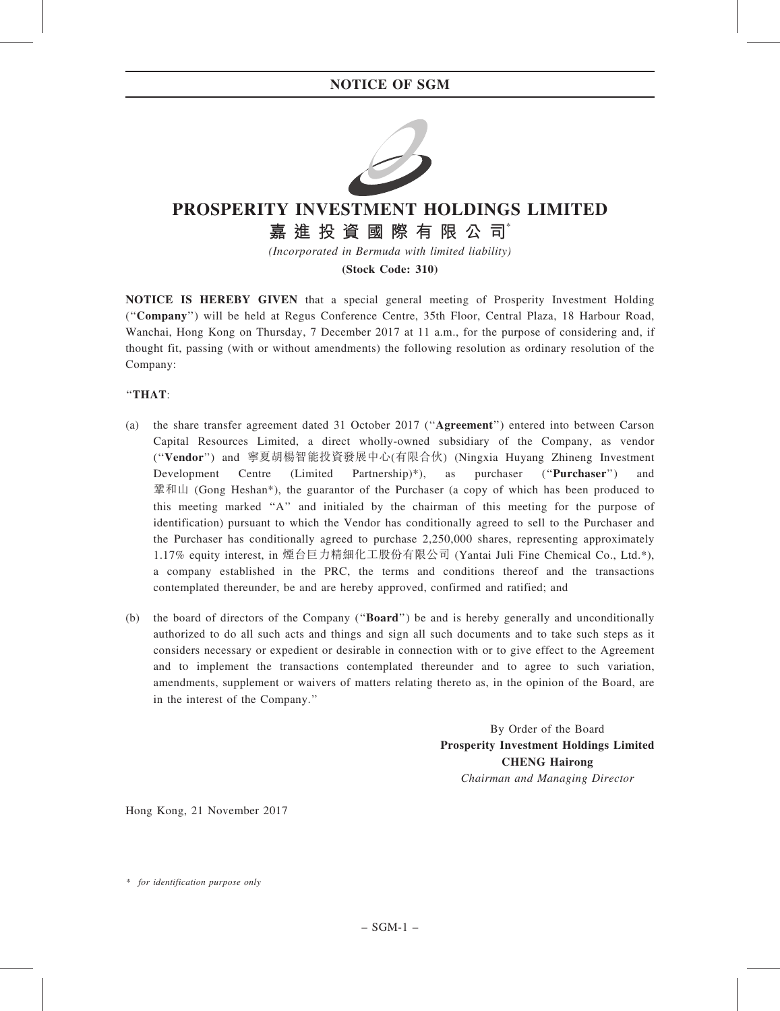

# PROSPERITY INVESTMENT HOLDINGS LIMITED

# 嘉 進 投 資 國 際 有 限 公 司

(Incorporated in Bermuda with limited liability)

(Stock Code: 310)

NOTICE IS HEREBY GIVEN that a special general meeting of Prosperity Investment Holding (''Company'') will be held at Regus Conference Centre, 35th Floor, Central Plaza, 18 Harbour Road, Wanchai, Hong Kong on Thursday, 7 December 2017 at 11 a.m., for the purpose of considering and, if thought fit, passing (with or without amendments) the following resolution as ordinary resolution of the Company:

## ''THAT:

- (a) the share transfer agreement dated 31 October 2017 (''Agreement'') entered into between Carson Capital Resources Limited, a direct wholly-owned subsidiary of the Company, as vendor (''Vendor'') and 寧夏胡楊智能投資發展中心(有限合伙) (Ningxia Huyang Zhineng Investment Development Centre (Limited Partnership)\*), as purchaser ("Purchaser") and  $\frac{1}{2}$   $\frac{1}{2}$   $\frac{1}{2}$   $\frac{1}{2}$   $\frac{1}{2}$   $\frac{1}{2}$   $\frac{1}{2}$   $\frac{1}{2}$   $\frac{1}{2}$   $\frac{1}{2}$   $\frac{1}{2}$   $\frac{1}{2}$   $\frac{1}{2}$   $\frac{1}{2}$   $\frac{1}{2}$   $\frac{1}{2}$   $\frac{1}{2}$   $\frac{1}{2}$   $\frac{1}{2}$   $\frac{1}{2}$   $\frac{1}{2}$ this meeting marked ''A'' and initialed by the chairman of this meeting for the purpose of identification) pursuant to which the Vendor has conditionally agreed to sell to the Purchaser and the Purchaser has conditionally agreed to purchase 2,250,000 shares, representing approximately 1.17% equity interest, in 煙台巨力精細化工股份有限公司 (Yantai Juli Fine Chemical Co., Ltd.\*), a company established in the PRC, the terms and conditions thereof and the transactions contemplated thereunder, be and are hereby approved, confirmed and ratified; and
- (b) the board of directors of the Company ("**Board**") be and is hereby generally and unconditionally authorized to do all such acts and things and sign all such documents and to take such steps as it considers necessary or expedient or desirable in connection with or to give effect to the Agreement and to implement the transactions contemplated thereunder and to agree to such variation, amendments, supplement or waivers of matters relating thereto as, in the opinion of the Board, are in the interest of the Company.''

By Order of the Board Prosperity Investment Holdings Limited CHENG Hairong Chairman and Managing Director

Hong Kong, 21 November 2017

<sup>\*</sup> for identification purpose only